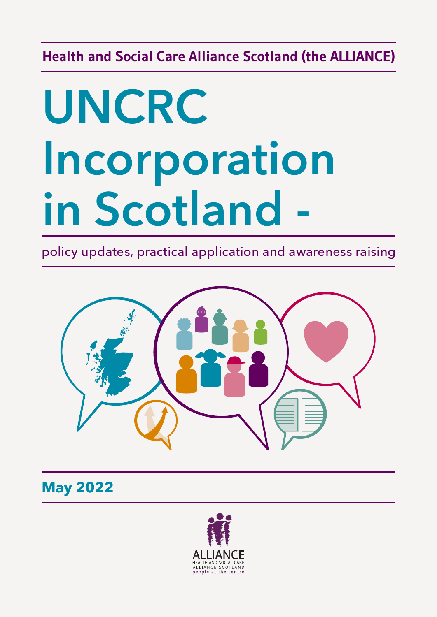#### **Health and Social Care Alliance Scotland (the ALLIANCE)**

# **UNCRC Incorporation in Scotland -**

policy updates, practical application and awareness raising



**May 2022**

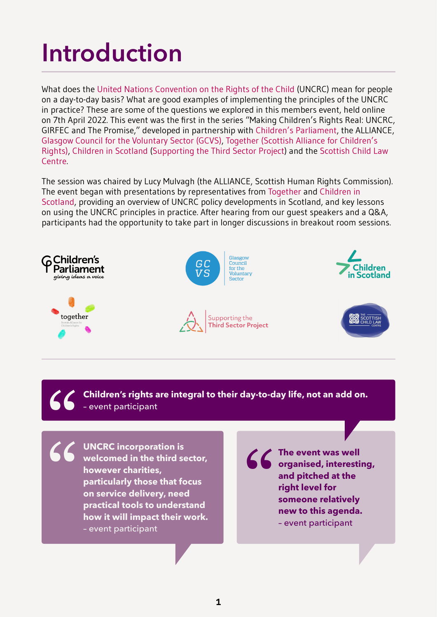### **Introduction**

What does the [United Nations Convention on the Rights of the Child](https://www.unicef.org.uk/rights-respecting-schools/wp-content/uploads/sites/4/2017/01/Summary-of-the-UNCRC.pdf) (UNCRC) mean for people on a day-to-day basis? What are good examples of implementing the principles of the UNCRC in practice? These are some of the questions we explored in this members event, held online on 7th April 2022. This event was the first in the series "Making Children's Rights Real: UNCRC, GIRFEC and The Promise," developed in partnership with [Children's Parliament,](https://www.childrensparliament.org.uk/) the ALLIANCE, [Glasgow Council for the Voluntary Sector \(GCVS\),](https://www.gcvs.org.uk/) [Together \(Scottish Alliance for Children's](https://www.togetherscotland.org.uk/) [Rights\),](https://www.togetherscotland.org.uk/) [Children in Scotland](https://childreninscotland.org.uk/) ([Supporting the Third Sector Project](https://childreninscotland.org.uk/supporting-the-third-sector-project/)) and the [Scottish Child Law](https://sclc.org.uk/) [Centre.](https://sclc.org.uk/)

The session was chaired by Lucy Mulvagh (the ALLIANCE, Scottish Human Rights Commission). The event began with presentations by representatives from [Together](https://www.togetherscotland.org.uk/) and [Children in](https://childreninscotland.org.uk/) [Scotland](https://childreninscotland.org.uk/), providing an overview of UNCRC policy developments in Scotland, and key lessons on using the UNCRC principles in practice. After hearing from our guest speakers and a Q&A, participants had the opportunity to take part in longer discussions in breakout room sessions.



**Children's rights are integral to their day-to-day life, not an add on.** – event participant 66<br>66

**UNCRC incorporation is welcomed in the third sector, however charities, particularly those that focus on service delivery, need practical tools to understand how it will impact their work.** – event participant "

**The event was well<br>
organised, interestived at the<br>
right level for<br>
someone relatively<br>
new to this agenda<br>
about participant organised, interesting, and pitched at the right level for someone relatively new to this agenda.** – event participant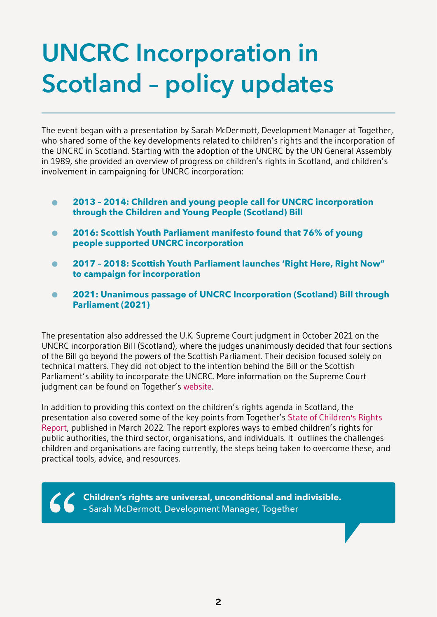### **UNCRC Incorporation in Scotland – policy updates**

The event began with a presentation by Sarah McDermott, Development Manager at Together, who shared some of the key developments related to children's rights and the incorporation of the UNCRC in Scotland. Starting with the adoption of the UNCRC by the UN General Assembly in 1989, she provided an overview of progress on children's rights in Scotland, and children's involvement in campaigning for UNCRC incorporation:

- **2013 2014: Children and young people call for UNCRC incorporation**  $\bullet$ **through the Children and Young People (Scotland) Bill**
- **2016: Scottish Youth Parliament manifesto found that 76% of young people supported UNCRC incorporation**
- **2017 2018: Scottish Youth Parliament launches 'Right Here, Right Now" to campaign for incorporation**
- **2021: Unanimous passage of UNCRC Incorporation (Scotland) Bill through**  $\bullet$ **Parliament (2021)**

The presentation also addressed the U.K. Supreme Court judgment in October 2021 on the UNCRC incorporation Bill (Scotland), where the judges unanimously decided that four sections of the Bill go beyond the powers of the Scottish Parliament. Their decision focused solely on technical matters. They did not object to the intention behind the Bill or the Scottish Parliament's ability to incorporate the UNCRC. More information on the Supreme Court judgment can be found on Together's [website](https://togetherscotland.blog/2021/10/06/supreme-court-judgment-heres-what-you-need-to-know/).

In addition to providing this context on the children's rights agenda in Scotland, the presentation also covered some of the key points from Together's [State of Children's Rights](https://www.togetherscotland.org.uk/resources-and-networks/state-of-childrens-rights-reports/) [Report](https://www.togetherscotland.org.uk/resources-and-networks/state-of-childrens-rights-reports/), published in March 2022. The report explores ways to embed children's rights for public authorities, the third sector, organisations, and individuals. It outlines the challenges children and organisations are facing currently, the steps being taken to overcome these, and practical tools, advice, and resources.

**Children's rights are universal, unconditional and indivisible.** – Sarah McDermott, Development Manager, Together "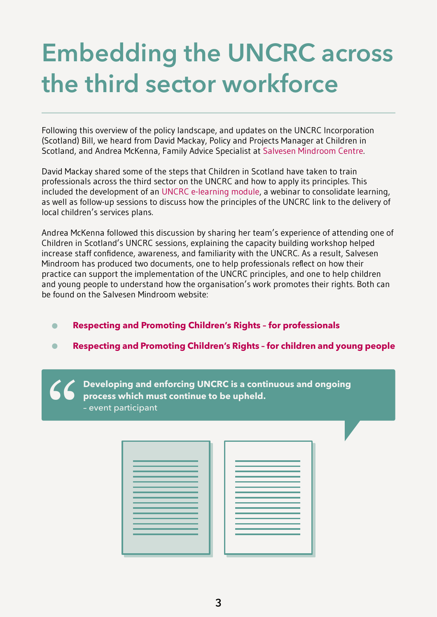#### **Embedding the UNCRC across the third sector workforce**

Following this overview of the policy landscape, and updates on the UNCRC Incorporation (Scotland) Bill, we heard from David Mackay, Policy and Projects Manager at Children in Scotland, and Andrea McKenna, Family Advice Specialist at [Salvesen Mindroom Centre](https://www.mindroom.org/).

David Mackay shared some of the steps that Children in Scotland have taken to train professionals across the third sector on the UNCRC and how to apply its principles. This included the development of an [UNCRC e-learning module,](https://childreninscotland.clcmoodle.org/local/roadmaplogin/login.php) a webinar to consolidate learning, as well as follow-up sessions to discuss how the principles of the UNCRC link to the delivery of local children's services plans.

Andrea McKenna followed this discussion by sharing her team's experience of attending one of Children in Scotland's UNCRC sessions, explaining the capacity building workshop helped increase staff confidence, awareness, and familiarity with the UNCRC. As a result, Salvesen Mindroom has produced two documents, one to help professionals reflect on how their practice can support the implementation of the UNCRC principles, and one to help children and young people to understand how the organisation's work promotes their rights. Both can be found on the Salvesen Mindroom website:

- **[Respecting and Promoting Children's Rights for professionals](https://www.mindroom.org/wp-content/uploads/2021/07/SMR5676_UNCRC_Document_Adult_s1.pdf)**  $\blacksquare$
- **[Respecting and Promoting Children's Rights for children and young people](https://www.mindroom.org/wp-content/uploads/2021/07/SMR5676_UNCRC_Document_Child_s1.pdf)**  $\blacksquare$

**Developing and enforcing UNCRC is a continuous and ongoing process which must continue to be upheld.** – event participant "

| and the control of the control of the control of the control of the control of the control of the control of the                                                                                                              |
|-------------------------------------------------------------------------------------------------------------------------------------------------------------------------------------------------------------------------------|
|                                                                                                                                                                                                                               |
|                                                                                                                                                                                                                               |
|                                                                                                                                                                                                                               |
|                                                                                                                                                                                                                               |
|                                                                                                                                                                                                                               |
| <u> The Common Section of the Common Section of the Common Section of the Common Section of the Common Section of</u>                                                                                                         |
|                                                                                                                                                                                                                               |
|                                                                                                                                                                                                                               |
|                                                                                                                                                                                                                               |
|                                                                                                                                                                                                                               |
|                                                                                                                                                                                                                               |
|                                                                                                                                                                                                                               |
|                                                                                                                                                                                                                               |
|                                                                                                                                                                                                                               |
|                                                                                                                                                                                                                               |
| the contract of the contract of the contract of the contract of the contract of the contract of the contract of                                                                                                               |
|                                                                                                                                                                                                                               |
|                                                                                                                                                                                                                               |
| the control of the control of the control of the control of the control of the control of the control of the control of the control of the control of the control of the control of the control of the control of the control |
|                                                                                                                                                                                                                               |
|                                                                                                                                                                                                                               |
|                                                                                                                                                                                                                               |
|                                                                                                                                                                                                                               |
| the control of the control of the control of the control of the control of the control of the control of the control of the control of the control of the control of the control of the control of the control of the control |
|                                                                                                                                                                                                                               |
|                                                                                                                                                                                                                               |
|                                                                                                                                                                                                                               |
|                                                                                                                                                                                                                               |
|                                                                                                                                                                                                                               |
| and the control of the control of the control of the control of the control of the control of the control of the                                                                                                              |
|                                                                                                                                                                                                                               |
| <u> The Common Section of the Common Section of the Common Section of the Common Section of the Common Section of</u>                                                                                                         |
|                                                                                                                                                                                                                               |
|                                                                                                                                                                                                                               |
|                                                                                                                                                                                                                               |
|                                                                                                                                                                                                                               |
|                                                                                                                                                                                                                               |
|                                                                                                                                                                                                                               |
|                                                                                                                                                                                                                               |
|                                                                                                                                                                                                                               |
|                                                                                                                                                                                                                               |
|                                                                                                                                                                                                                               |

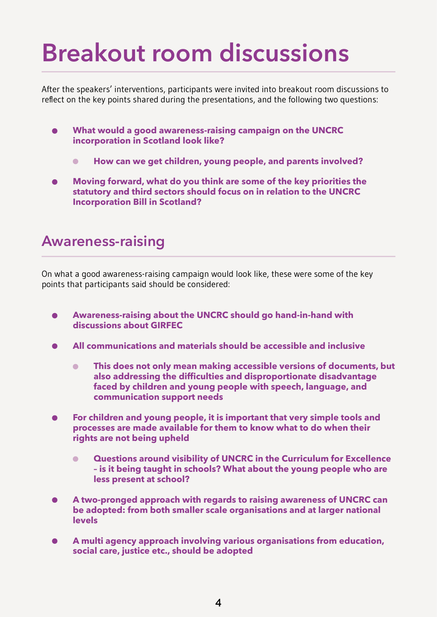### **Breakout room discussions**

After the speakers' interventions, participants were invited into breakout room discussions to reflect on the key points shared during the presentations, and the following two questions:

- **What would a good awareness-raising campaign on the UNCRC**  $\bullet$ **incorporation in Scotland look like?**
	- **How can we get children, young people, and parents involved?**
- **Moving forward, what do you think are some of the key priorities the**  $\bullet$ **statutory and third sectors should focus on in relation to the UNCRC Incorporation Bill in Scotland?**

#### **Awareness-raising**

On what a good awareness-raising campaign would look like, these were some of the key points that participants said should be considered:

- **Awareness-raising about the UNCRC should go hand-in-hand with**  $\bullet$ **discussions about GIRFEC**
- **All communications and materials should be accessible and inclusive**
	- **This does not only mean making accessible versions of documents, but**  $\bullet$ **also addressing the difficulties and disproportionate disadvantage faced by children and young people with speech, language, and communication support needs**
- **For children and young people, it is important that very simple tools and**  $\bullet$ **processes are made available for them to know what to do when their rights are not being upheld**
	- **Questions around visibility of UNCRC in the Curriculum for Excellence – is it being taught in schools? What about the young people who are less present at school?**
- **A two-pronged approach with regards to raising awareness of UNCRC can be adopted: from both smaller scale organisations and at larger national levels**
- **A multi agency approach involving various organisations from education,**  $\bullet$ **social care, justice etc., should be adopted**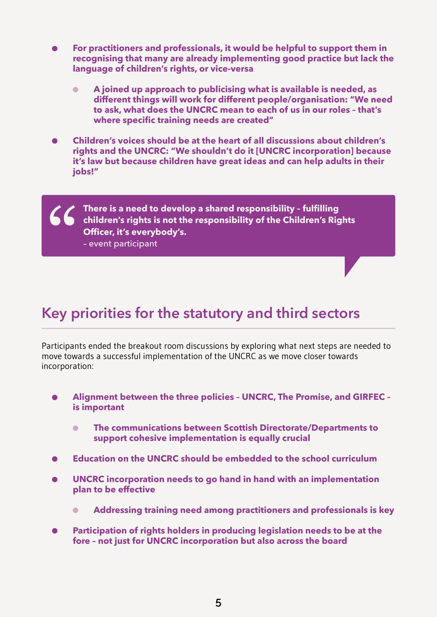- **For practitioners and professionals, it would be helpful to support them in**  $\bullet$ **recognising that many are already implementing good practice but lack the language of children's rights, or vice-versa**
	- **A joined up approach to publicising what is available is needed, as different things will work for different people/organisation: "We need to ask, what does the UNCRC mean to each of us in our roles – that's where specific training needs are created"**
- **Children's voices should be at the heart of all discussions about children's**  $\bullet$ **rights and the UNCRC: "We shouldn't do it [UNCRC incorporation] because it's law but because children have great ideas and can help adults in their jobs!"**



#### **Key priorities for the statutory and third sectors**

Participants ended the breakout room discussions by exploring what next steps are needed to move towards a successful implementation of the UNCRC as we move closer towards incorporation:

- **Alignment between the three policies UNCRC, The Promise, and GIRFEC – is important**
	- **The communications between Scottish Directorate/Departments to support cohesive implementation is equally crucial**
- **Education on the UNCRC should be embedded to the school curriculum**
- **UNCRC incorporation needs to go hand in hand with an implementation plan to be effective**
	- **Addressing training need among practitioners and professionals is key**
- **Participation of rights holders in producing legislation needs to be at the fore – not just for UNCRC incorporation but also across the board**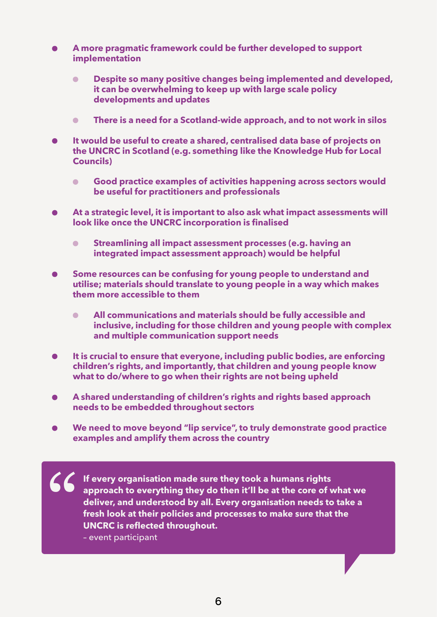- **A more pragmatic framework could be further developed to support implementation**
	- **Despite so many positive changes being implemented and developed, it can be overwhelming to keep up with large scale policy developments and updates**
	- **There is a need for a Scotland-wide approach, and to not work in silos**  $\bullet$
- **It would be useful to create a shared, centralised data base of projects on**  $\bullet$ **the UNCRC in Scotland (e.g. something like the Knowledge Hub for Local Councils)**
	- **Good practice examples of activities happening across sectors would be useful for practitioners and professionals**
- **At a strategic level, it is important to also ask what impact assessments will**  $\bullet$ **look like once the UNCRC incorporation is finalised**
	- **Streamlining all impact assessment processes (e.g. having an integrated impact assessment approach) would be helpful**
- **Some resources can be confusing for young people to understand and**  $\bullet$ **utilise; materials should translate to young people in a way which makes them more accessible to them**
	- **All communications and materials should be fully accessible and inclusive, including for those children and young people with complex and multiple communication support needs**
- $\bullet$ **It is crucial to ensure that everyone, including public bodies, are enforcing children's rights, and importantly, that children and young people know what to do/where to go when their rights are not being upheld**
- **A shared understanding of children's rights and rights based approach**  $\bullet$ **needs to be embedded throughout sectors**
- $\bullet$ **We need to move beyond "lip service", to truly demonstrate good practice examples and amplify them across the country**

"

**If every organisation made sure they took a humans rights approach to everything they do then it'll be at the core of what we deliver, and understood by all. Every organisation needs to take a fresh look at their policies and processes to make sure that the UNCRC is reflected throughout.**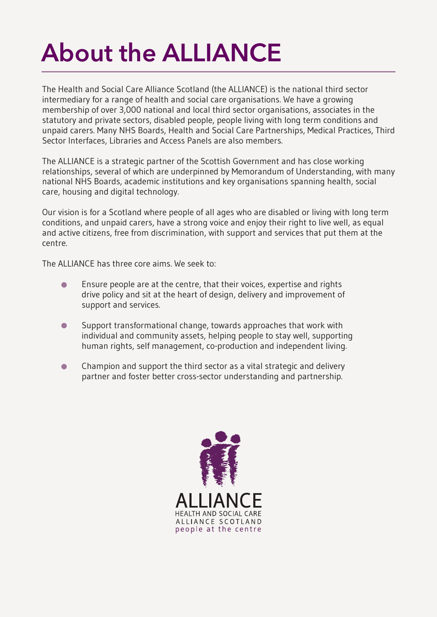## **About the ALLIANCE**

The Health and Social Care Alliance Scotland (the ALLIANCE) is the national third sector intermediary for a range of health and social care organisations. We have a growing membership of over 3,000 national and local third sector organisations, associates in the statutory and private sectors, disabled people, people living with long term conditions and unpaid carers. Many NHS Boards, Health and Social Care Partnerships, Medical Practices, Third Sector Interfaces, Libraries and Access Panels are also members.

The ALLIANCE is a strategic partner of the Scottish Government and has close working relationships, several of which are underpinned by Memorandum of Understanding, with many national NHS Boards, academic institutions and key organisations spanning health, social care, housing and digital technology.

Our vision is for a Scotland where people of all ages who are disabled or living with long term conditions, and unpaid carers, have a strong voice and enjoy their right to live well, as equal and active citizens, free from discrimination, with support and services that put them at the centre.

The ALLIANCE has three core aims. We seek to:

- Ensure people are at the centre, that their voices, expertise and rights  $\bullet$ drive policy and sit at the heart of design, delivery and improvement of support and services.
- Support transformational change, towards approaches that work with  $\bullet$ individual and community assets, helping people to stay well, supporting human rights, self management, co-production and independent living.
- Champion and support the third sector as a vital strategic and delivery  $\bullet$ partner and foster better cross-sector understanding and partnership.